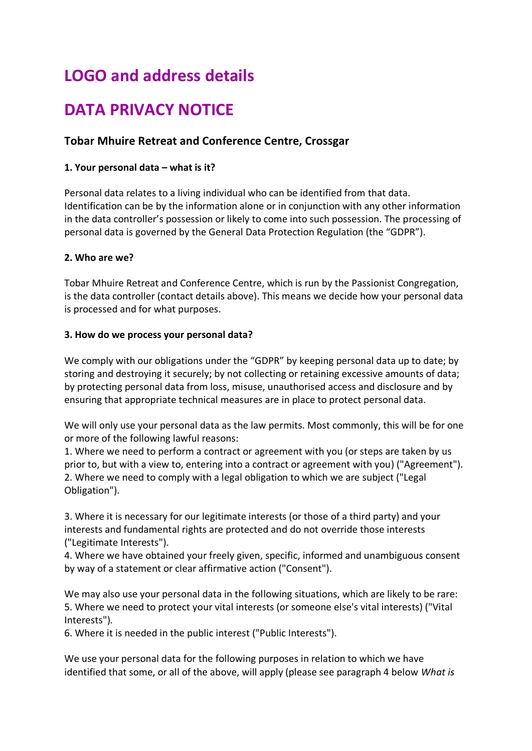# **LOGO and address details**

## **DATA PRIVACY NOTICE**

### **Tobar Mhuire Retreat and Conference Centre, Crossgar**

#### **1. Your personal data – what is it?**

Personal data relates to a living individual who can be identified from that data. Identification can be by the information alone or in conjunction with any other information in the data controller's possession or likely to come into such possession. The processing of personal data is governed by the General Data Protection Regulation (the "GDPR").

#### **2. Who are we?**

Tobar Mhuire Retreat and Conference Centre, which is run by the Passionist Congregation, is the data controller (contact details above). This means we decide how your personal data is processed and for what purposes.

#### **3. How do we process your personal data?**

We comply with our obligations under the "GDPR" by keeping personal data up to date; by storing and destroying it securely; by not collecting or retaining excessive amounts of data; by protecting personal data from loss, misuse, unauthorised access and disclosure and by ensuring that appropriate technical measures are in place to protect personal data.

We will only use your personal data as the law permits. Most commonly, this will be for one or more of the following lawful reasons:

1. Where we need to perform a contract or agreement with you (or steps are taken by us prior to, but with a view to, entering into a contract or agreement with you) ("Agreement"). 2. Where we need to comply with a legal obligation to which we are subject ("Legal Obligation").

3. Where it is necessary for our legitimate interests (or those of a third party) and your interests and fundamental rights are protected and do not override those interests ("Legitimate Interests").

4. Where we have obtained your freely given, specific, informed and unambiguous consent by way of a statement or clear affirmative action ("Consent").

We may also use your personal data in the following situations, which are likely to be rare: 5. Where we need to protect your vital interests (or someone else's vital interests) ("Vital Interests").

6. Where it is needed in the public interest ("Public Interests").

We use your personal data for the following purposes in relation to which we have identified that some, or all of the above, will apply (please see paragraph 4 below *What is*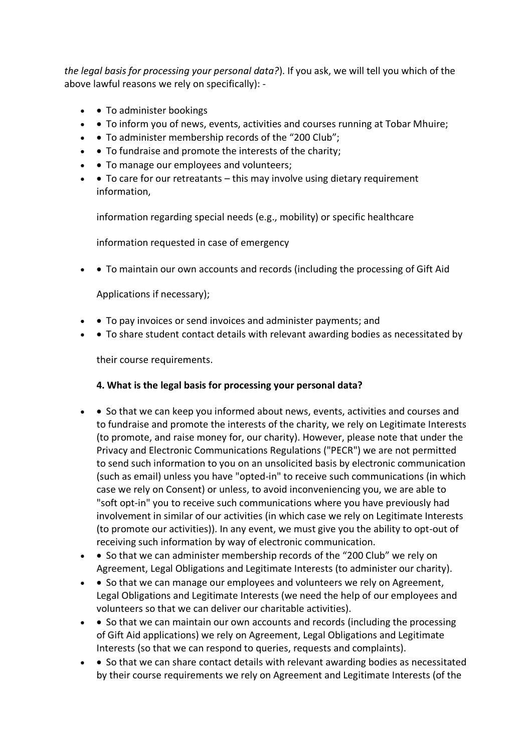*the legal basis for processing your personal data?*). If you ask, we will tell you which of the above lawful reasons we rely on specifically): -

- • To administer bookings
- • To inform you of news, events, activities and courses running at Tobar Mhuire;
- • To administer membership records of the "200 Club";
- • To fundraise and promote the interests of the charity;
- • To manage our employees and volunteers;
- • To care for our retreatants this may involve using dietary requirement information,

information regarding special needs (e.g., mobility) or specific healthcare

information requested in case of emergency

• • To maintain our own accounts and records (including the processing of Gift Aid

Applications if necessary);

- • To pay invoices or send invoices and administer payments; and
- To share student contact details with relevant awarding bodies as necessitated by

their course requirements.

#### **4. What is the legal basis for processing your personal data?**

- • So that we can keep you informed about news, events, activities and courses and to fundraise and promote the interests of the charity, we rely on Legitimate Interests (to promote, and raise money for, our charity). However, please note that under the Privacy and Electronic Communications Regulations ("PECR") we are not permitted to send such information to you on an unsolicited basis by electronic communication (such as email) unless you have "opted-in" to receive such communications (in which case we rely on Consent) or unless, to avoid inconveniencing you, we are able to "soft opt-in" you to receive such communications where you have previously had involvement in similar of our activities (in which case we rely on Legitimate Interests (to promote our activities)). In any event, we must give you the ability to opt-out of receiving such information by way of electronic communication.
- • So that we can administer membership records of the "200 Club" we rely on Agreement, Legal Obligations and Legitimate Interests (to administer our charity).
- • So that we can manage our employees and volunteers we rely on Agreement, Legal Obligations and Legitimate Interests (we need the help of our employees and volunteers so that we can deliver our charitable activities).
- • So that we can maintain our own accounts and records (including the processing of Gift Aid applications) we rely on Agreement, Legal Obligations and Legitimate Interests (so that we can respond to queries, requests and complaints).
- • So that we can share contact details with relevant awarding bodies as necessitated by their course requirements we rely on Agreement and Legitimate Interests (of the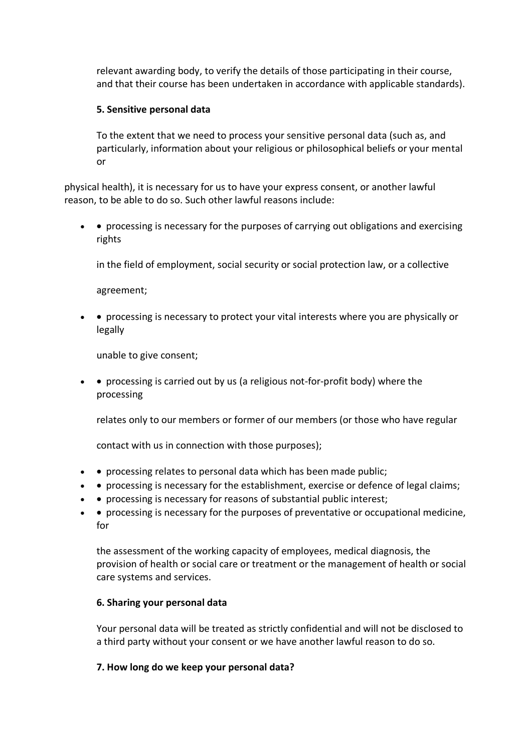relevant awarding body, to verify the details of those participating in their course, and that their course has been undertaken in accordance with applicable standards).

#### **5. Sensitive personal data**

To the extent that we need to process your sensitive personal data (such as, and particularly, information about your religious or philosophical beliefs or your mental or

physical health), it is necessary for us to have your express consent, or another lawful reason, to be able to do so. Such other lawful reasons include:

• • processing is necessary for the purposes of carrying out obligations and exercising rights

in the field of employment, social security or social protection law, or a collective

agreement;

• • processing is necessary to protect your vital interests where you are physically or legally

unable to give consent;

• • processing is carried out by us (a religious not-for-profit body) where the processing

relates only to our members or former of our members (or those who have regular

contact with us in connection with those purposes);

- • processing relates to personal data which has been made public;
- • processing is necessary for the establishment, exercise or defence of legal claims;
- • processing is necessary for reasons of substantial public interest;
- • processing is necessary for the purposes of preventative or occupational medicine, for

the assessment of the working capacity of employees, medical diagnosis, the provision of health or social care or treatment or the management of health or social care systems and services.

#### **6. Sharing your personal data**

Your personal data will be treated as strictly confidential and will not be disclosed to a third party without your consent or we have another lawful reason to do so.

#### **7. How long do we keep your personal data?**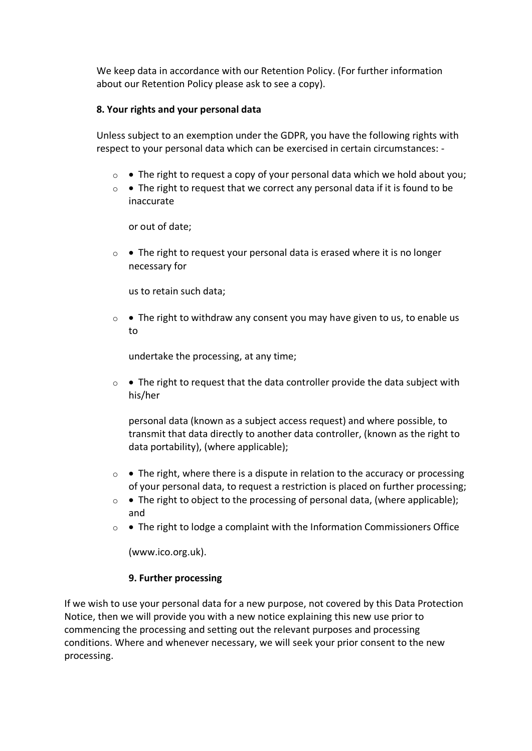We keep data in accordance with our Retention Policy. (For further information about our Retention Policy please ask to see a copy).

#### **8. Your rights and your personal data**

Unless subject to an exemption under the GDPR, you have the following rights with respect to your personal data which can be exercised in certain circumstances: -

- $\circ \bullet$  The right to request a copy of your personal data which we hold about you;
- o The right to request that we correct any personal data if it is found to be inaccurate

or out of date;

 $\circ$  • The right to request your personal data is erased where it is no longer necessary for

us to retain such data;

 $\circ \bullet$  The right to withdraw any consent you may have given to us, to enable us to

undertake the processing, at any time;

 $\circ \bullet$  The right to request that the data controller provide the data subject with his/her

personal data (known as a subject access request) and where possible, to transmit that data directly to another data controller, (known as the right to data portability), (where applicable);

- $\circ \bullet$  The right, where there is a dispute in relation to the accuracy or processing of your personal data, to request a restriction is placed on further processing;
- o The right to object to the processing of personal data, (where applicable); and
- $\circ \bullet$  The right to lodge a complaint with the Information Commissioners Office

(www.ico.org.uk).

#### **9. Further processing**

If we wish to use your personal data for a new purpose, not covered by this Data Protection Notice, then we will provide you with a new notice explaining this new use prior to commencing the processing and setting out the relevant purposes and processing conditions. Where and whenever necessary, we will seek your prior consent to the new processing.